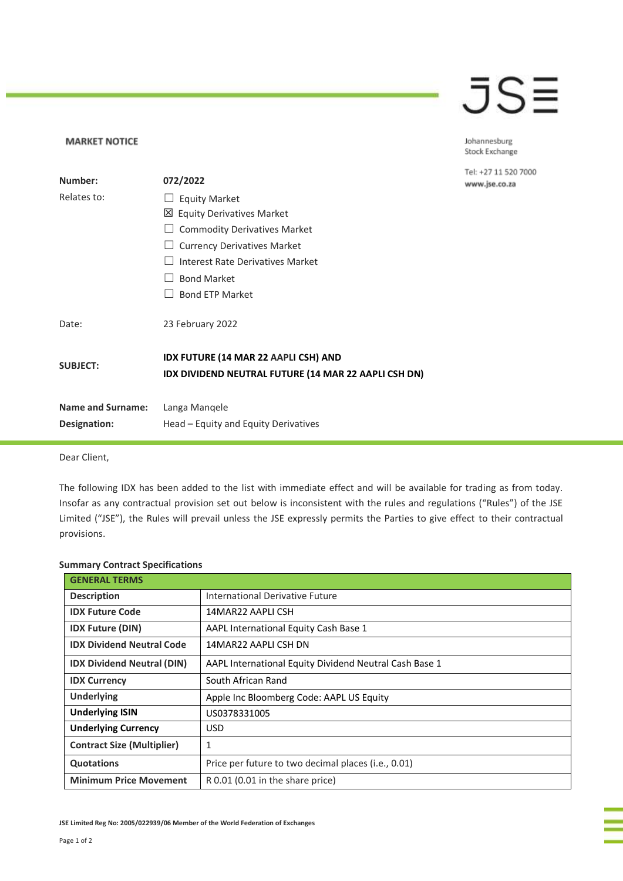## JSE

Johannesburg Stock Exchange

Tel: +27 11 520 7000 www.jse.co.za

| Number:                  | 072/2022                                                                                            |
|--------------------------|-----------------------------------------------------------------------------------------------------|
| Relates to:              | <b>Equity Market</b>                                                                                |
|                          | <b>⊠</b> Equity Derivatives Market                                                                  |
|                          | <b>Commodity Derivatives Market</b>                                                                 |
|                          | <b>Currency Derivatives Market</b>                                                                  |
|                          | Interest Rate Derivatives Market                                                                    |
|                          | <b>Bond Market</b>                                                                                  |
|                          | <b>Bond ETP Market</b>                                                                              |
| Date:                    | 23 February 2022                                                                                    |
| <b>SUBJECT:</b>          | <b>IDX FUTURE (14 MAR 22 AAPLI CSH) AND</b><br>IDX DIVIDEND NEUTRAL FUTURE (14 MAR 22 AAPLI CSH DN) |
| <b>Name and Surname:</b> | Langa Mangele                                                                                       |
| Designation:             | Head – Equity and Equity Derivatives                                                                |
|                          |                                                                                                     |

Dear Client,

**MARKET NOTICE** 

The following IDX has been added to the list with immediate effect and will be available for trading as from today. Insofar as any contractual provision set out below is inconsistent with the rules and regulations ("Rules") of the JSE Limited ("JSE"), the Rules will prevail unless the JSE expressly permits the Parties to give effect to their contractual provisions.

## **Summary Contract Specifications**

| <b>GENERAL TERMS</b>              |                                                        |
|-----------------------------------|--------------------------------------------------------|
| <b>Description</b>                | International Derivative Future                        |
| <b>IDX Future Code</b>            | 14MAR22 AAPLI CSH                                      |
| <b>IDX Future (DIN)</b>           | AAPL International Equity Cash Base 1                  |
| <b>IDX Dividend Neutral Code</b>  | 14MAR22 AAPLI CSH DN                                   |
| <b>IDX Dividend Neutral (DIN)</b> | AAPL International Equity Dividend Neutral Cash Base 1 |
| <b>IDX Currency</b>               | South African Rand                                     |
| <b>Underlying</b>                 | Apple Inc Bloomberg Code: AAPL US Equity               |
| <b>Underlying ISIN</b>            | US0378331005                                           |
| <b>Underlying Currency</b>        | USD.                                                   |
| <b>Contract Size (Multiplier)</b> | 1                                                      |
| <b>Quotations</b>                 | Price per future to two decimal places (i.e., 0.01)    |
| <b>Minimum Price Movement</b>     | R 0.01 (0.01 in the share price)                       |